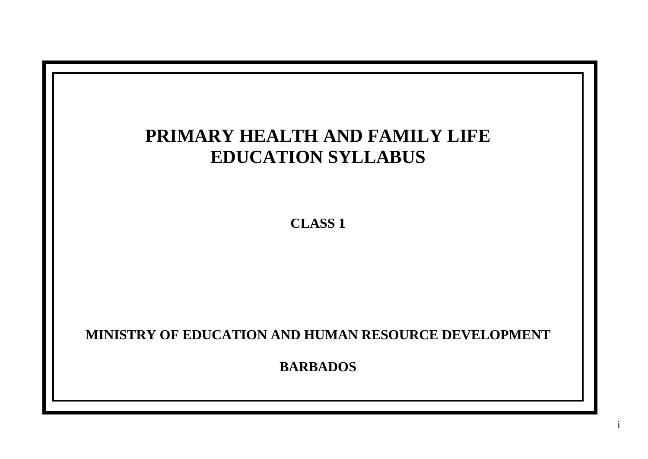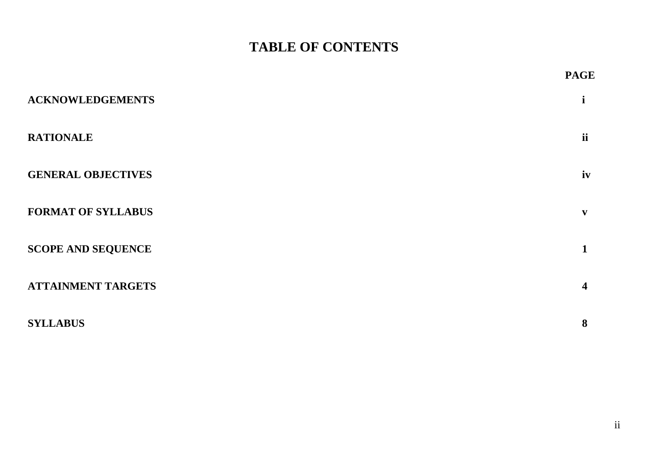# **TABLE OF CONTENTS**

|                           | <b>PAGE</b>             |
|---------------------------|-------------------------|
| <b>ACKNOWLEDGEMENTS</b>   |                         |
| <b>RATIONALE</b>          | <i>ii</i>               |
| <b>GENERAL OBJECTIVES</b> | iv                      |
| <b>FORMAT OF SYLLABUS</b> | $\mathbf{v}$            |
| <b>SCOPE AND SEQUENCE</b> | $\mathbf 1$             |
| <b>ATTAINMENT TARGETS</b> | $\overline{\mathbf{4}}$ |
| <b>SYLLABUS</b>           | 8                       |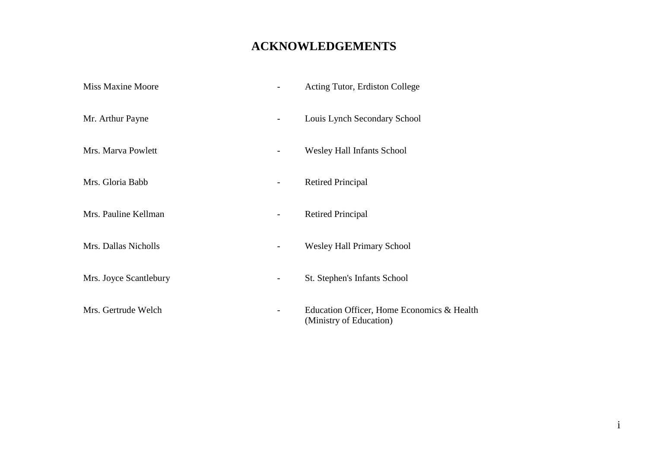# **ACKNOWLEDGEMENTS**

| <b>Miss Maxine Moore</b> |   | Acting Tutor, Erdiston College                                        |
|--------------------------|---|-----------------------------------------------------------------------|
| Mr. Arthur Payne         |   | Louis Lynch Secondary School                                          |
| Mrs. Marva Powlett       |   | <b>Wesley Hall Infants School</b>                                     |
| Mrs. Gloria Babb         | - | <b>Retired Principal</b>                                              |
| Mrs. Pauline Kellman     |   | <b>Retired Principal</b>                                              |
| Mrs. Dallas Nicholls     | - | <b>Wesley Hall Primary School</b>                                     |
| Mrs. Joyce Scantlebury   |   | St. Stephen's Infants School                                          |
| Mrs. Gertrude Welch      |   | Education Officer, Home Economics & Health<br>(Ministry of Education) |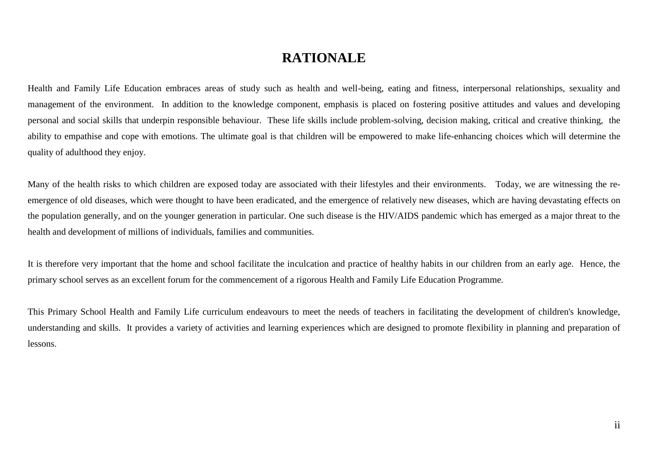# **RATIONALE**

Health and Family Life Education embraces areas of study such as health and well-being, eating and fitness, interpersonal relationships, sexuality and management of the environment. In addition to the knowledge component, emphasis is placed on fostering positive attitudes and values and developing personal and social skills that underpin responsible behaviour. These life skills include problem-solving, decision making, critical and creative thinking, the ability to empathise and cope with emotions. The ultimate goal is that children will be empowered to make life-enhancing choices which will determine the quality of adulthood they enjoy.

Many of the health risks to which children are exposed today are associated with their lifestyles and their environments. Today, we are witnessing the reemergence of old diseases, which were thought to have been eradicated, and the emergence of relatively new diseases, which are having devastating effects on the population generally, and on the younger generation in particular. One such disease is the HIV/AIDS pandemic which has emerged as a major threat to the health and development of millions of individuals, families and communities.

It is therefore very important that the home and school facilitate the inculcation and practice of healthy habits in our children from an early age. Hence, the primary school serves as an excellent forum for the commencement of a rigorous Health and Family Life Education Programme.

This Primary School Health and Family Life curriculum endeavours to meet the needs of teachers in facilitating the development of children's knowledge, understanding and skills. It provides a variety of activities and learning experiences which are designed to promote flexibility in planning and preparation of lessons.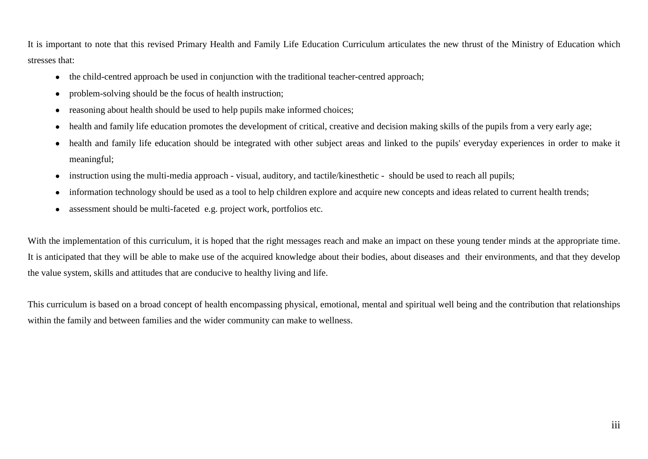It is important to note that this revised Primary Health and Family Life Education Curriculum articulates the new thrust of the Ministry of Education which stresses that:

- the child-centred approach be used in conjunction with the traditional teacher-centred approach;  $\bullet$
- problem-solving should be the focus of health instruction;  $\bullet$
- reasoning about health should be used to help pupils make informed choices;  $\bullet$
- health and family life education promotes the development of critical, creative and decision making skills of the pupils from a very early age;  $\bullet$
- health and family life education should be integrated with other subject areas and linked to the pupils' everyday experiences in order to make it  $\bullet$ meaningful;
- instruction using the multi-media approach visual, auditory, and tactile/kinesthetic should be used to reach all pupils;  $\bullet$
- information technology should be used as a tool to help children explore and acquire new concepts and ideas related to current health trends;  $\bullet$
- assessment should be multi-faceted e.g. project work, portfolios etc.  $\bullet$

With the implementation of this curriculum, it is hoped that the right messages reach and make an impact on these young tender minds at the appropriate time. It is anticipated that they will be able to make use of the acquired knowledge about their bodies, about diseases and their environments, and that they develop the value system, skills and attitudes that are conducive to healthy living and life.

This curriculum is based on a broad concept of health encompassing physical, emotional, mental and spiritual well being and the contribution that relationships within the family and between families and the wider community can make to wellness.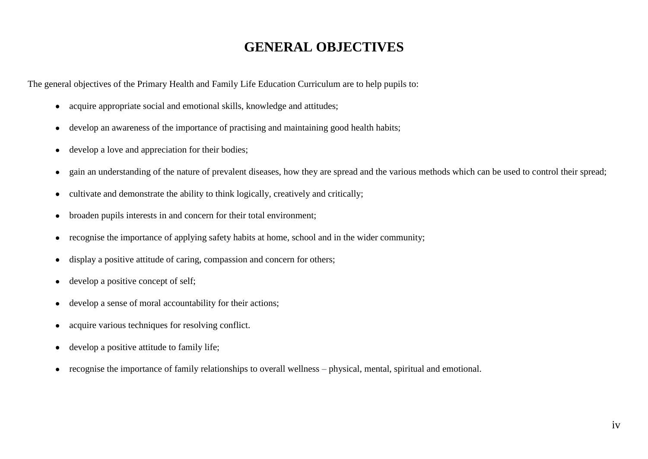# **GENERAL OBJECTIVES**

The general objectives of the Primary Health and Family Life Education Curriculum are to help pupils to:

- acquire appropriate social and emotional skills, knowledge and attitudes;  $\bullet$
- develop an awareness of the importance of practising and maintaining good health habits;  $\bullet$
- develop a love and appreciation for their bodies;  $\bullet$
- gain an understanding of the nature of prevalent diseases, how they are spread and the various methods which can be used to control their spread;  $\bullet$
- cultivate and demonstrate the ability to think logically, creatively and critically;  $\bullet$
- broaden pupils interests in and concern for their total environment;  $\bullet$
- recognise the importance of applying safety habits at home, school and in the wider community;  $\bullet$
- display a positive attitude of caring, compassion and concern for others;  $\bullet$
- develop a positive concept of self;  $\bullet$
- develop a sense of moral accountability for their actions;  $\bullet$
- acquire various techniques for resolving conflict.  $\bullet$
- develop a positive attitude to family life;  $\bullet$
- recognise the importance of family relationships to overall wellness physical, mental, spiritual and emotional. $\bullet$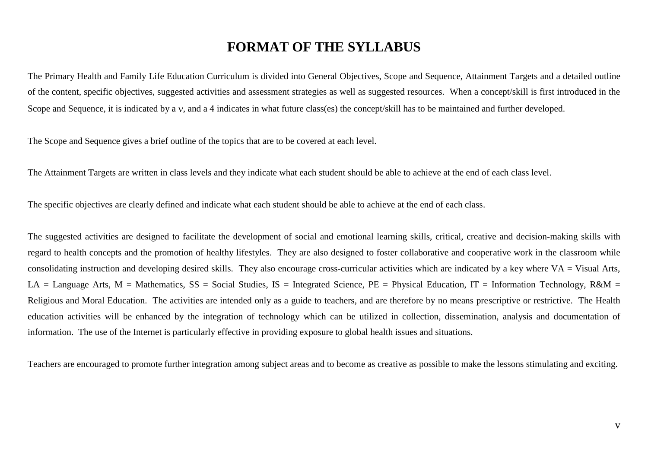## **FORMAT OF THE SYLLABUS**

The Primary Health and Family Life Education Curriculum is divided into General Objectives, Scope and Sequence, Attainment Targets and a detailed outline of the content, specific objectives, suggested activities and assessment strategies as well as suggested resources. When a concept/skill is first introduced in the Scope and Sequence, it is indicated by a v, and a 4 indicates in what future class(es) the concept/skill has to be maintained and further developed.

The Scope and Sequence gives a brief outline of the topics that are to be covered at each level.

The Attainment Targets are written in class levels and they indicate what each student should be able to achieve at the end of each class level.

The specific objectives are clearly defined and indicate what each student should be able to achieve at the end of each class.

The suggested activities are designed to facilitate the development of social and emotional learning skills, critical, creative and decision-making skills with regard to health concepts and the promotion of healthy lifestyles. They are also designed to foster collaborative and cooperative work in the classroom while consolidating instruction and developing desired skills. They also encourage cross-curricular activities which are indicated by a key where  $VA = Visual Arts$ , LA = Language Arts, M = Mathematics, SS = Social Studies, IS = Integrated Science, PE = Physical Education, IT = Information Technology, R&M = Religious and Moral Education. The activities are intended only as a guide to teachers, and are therefore by no means prescriptive or restrictive. The Health education activities will be enhanced by the integration of technology which can be utilized in collection, dissemination, analysis and documentation of information. The use of the Internet is particularly effective in providing exposure to global health issues and situations.

Teachers are encouraged to promote further integration among subject areas and to become as creative as possible to make the lessons stimulating and exciting.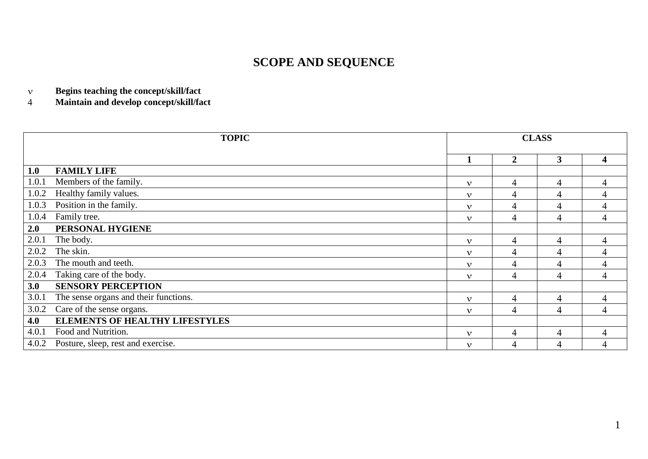# **SCOPE AND SEQUENCE**

**Begins teaching the concept/skill/fact**  $\mathbf{v}$ 

**Maintain and develop concept/skill/fact**  $\overline{4}$ 

|       | <b>CLASS</b><br><b>TOPIC</b>          |              |                |                |                         |
|-------|---------------------------------------|--------------|----------------|----------------|-------------------------|
|       |                                       |              | $\overline{2}$ | $\mathbf{3}$   | $\overline{\mathbf{4}}$ |
| 1.0   | <b>FAMILY LIFE</b>                    |              |                |                |                         |
| 1.0.1 | Members of the family.                | $\mathbf{v}$ | 4              | 4              | $\overline{4}$          |
| 1.0.2 | Healthy family values.                | $\mathbf{v}$ | 4              | 4              | $\overline{4}$          |
| 1.0.3 | Position in the family.               | $\mathbf{v}$ | $\overline{4}$ | $\overline{4}$ | 4                       |
| 1.0.4 | Family tree.                          | $\mathbf{v}$ | 4              | 4              | 4                       |
| 2.0   | PERSONAL HYGIENE                      |              |                |                |                         |
| 2.0.1 | The body.                             | $\mathbf{v}$ | $\overline{4}$ | 4              | 4                       |
| 2.0.2 | The skin.                             | $\mathbf{v}$ | 4              | 4              | $\overline{4}$          |
| 2.0.3 | The mouth and teeth.                  | $\mathbf{v}$ | 4              | 4              | $\overline{4}$          |
| 2.0.4 | Taking care of the body.              | $\mathbf{v}$ | 4              | $\overline{4}$ | $\overline{4}$          |
| 3.0   | <b>SENSORY PERCEPTION</b>             |              |                |                |                         |
| 3.0.1 | The sense organs and their functions. | $\mathbf{v}$ | $\overline{4}$ | 4              | $\overline{4}$          |
| 3.0.2 | Care of the sense organs.             | $\mathbf{v}$ | 4              | 4              | 4                       |
| 4.0   | <b>ELEMENTS OF HEALTHY LIFESTYLES</b> |              |                |                |                         |
| 4.0.1 | Food and Nutrition.                   | $\mathbf{v}$ | 4              | $\overline{4}$ | $\overline{4}$          |
| 4.0.2 | Posture, sleep, rest and exercise.    | $\mathbf{v}$ | 4              | 4              | $\overline{4}$          |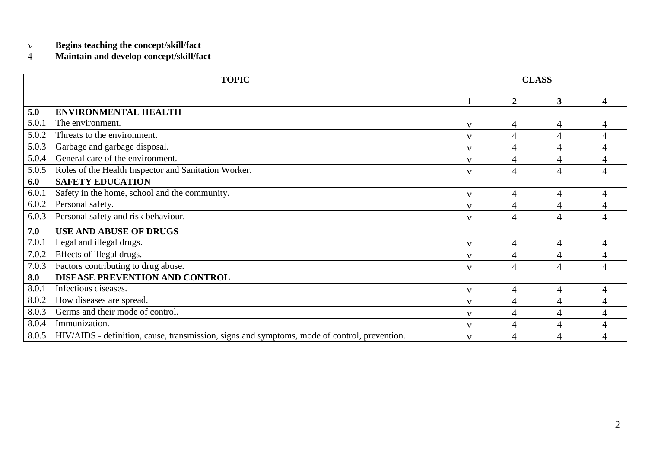#### $\bar{\mathbf{v}}$ **Begins teaching the concept/skill/fact**

#### $\overline{4}$ **Maintain and develop concept/skill/fact**

| <b>TOPIC</b> |                                                                                              |              |                  | <b>CLASS</b>   |                |
|--------------|----------------------------------------------------------------------------------------------|--------------|------------------|----------------|----------------|
|              |                                                                                              |              | $\boldsymbol{2}$ | 3              | 4              |
| 5.0          | <b>ENVIRONMENTAL HEALTH</b>                                                                  |              |                  |                |                |
| 5.0.1        | The environment.                                                                             | $\mathbf{v}$ | 4                | 4              | 4              |
| 5.0.2        | Threats to the environment.                                                                  | $\mathbf v$  | 4                | 4              | $\overline{4}$ |
| 5.0.3        | Garbage and garbage disposal.                                                                | $\mathbf{v}$ | $\overline{4}$   | $\overline{4}$ | 4              |
| 5.0.4        | General care of the environment.                                                             | $\mathbf{v}$ | 4                | $\overline{4}$ | 4              |
| 5.0.5        | Roles of the Health Inspector and Sanitation Worker.                                         | $\mathbf{v}$ | $\overline{4}$   | $\overline{4}$ | $\overline{4}$ |
| 6.0          | <b>SAFETY EDUCATION</b>                                                                      |              |                  |                |                |
| 6.0.1        | Safety in the home, school and the community.                                                | $\mathbf{v}$ | 4                | 4              | 4              |
| 6.0.2        | Personal safety.                                                                             | $\mathbf{v}$ | $\overline{4}$   | $\overline{4}$ | 4              |
| 6.0.3        | Personal safety and risk behaviour.                                                          | $\mathbf v$  | 4                | $\overline{4}$ | 4              |
| 7.0          | <b>USE AND ABUSE OF DRUGS</b>                                                                |              |                  |                |                |
| 7.0.1        | Legal and illegal drugs.                                                                     | $\mathbf v$  | 4                | $\overline{4}$ | 4              |
| 7.0.2        | Effects of illegal drugs.                                                                    | $\mathbf v$  | $\overline{4}$   | $\overline{4}$ | 4              |
| 7.0.3        | Factors contributing to drug abuse.                                                          | $\mathbf v$  | $\overline{4}$   | $\overline{4}$ | $\overline{4}$ |
| 8.0          | <b>DISEASE PREVENTION AND CONTROL</b>                                                        |              |                  |                |                |
| 8.0.1        | Infectious diseases.                                                                         | $\mathbf{v}$ | 4                | 4              | 4              |
| 8.0.2        | How diseases are spread.                                                                     | $\mathbf{v}$ | 4                | 4              | 4              |
| 8.0.3        | Germs and their mode of control.                                                             | $\mathbf v$  | 4                | 4              | 4              |
| 8.0.4        | Immunization.                                                                                | $\mathbf{v}$ | 4                | 4              | 4              |
| 8.0.5        | HIV/AIDS - definition, cause, transmission, signs and symptoms, mode of control, prevention. | $\mathbf{v}$ | 4                | $\overline{4}$ | 4              |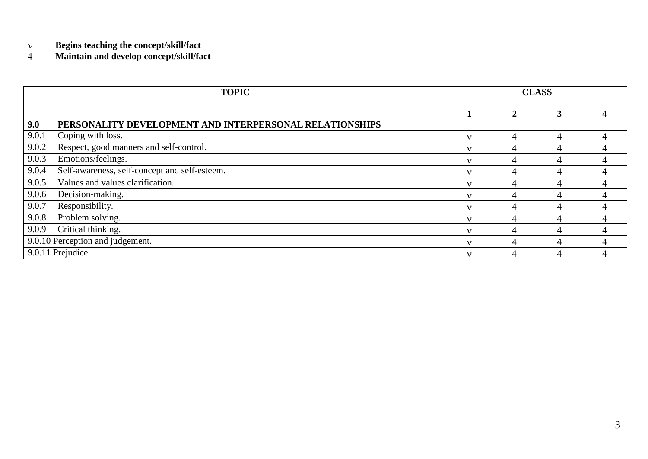- $\bar{\mathbf{v}}$ **Begins teaching the concept/skill/fact**
- $\overline{4}$ **Maintain and develop concept/skill/fact**

|                                  | <b>TOPIC</b>                                            |              | <b>CLASS</b>   |   |  |  |
|----------------------------------|---------------------------------------------------------|--------------|----------------|---|--|--|
|                                  |                                                         |              | $\overline{2}$ | 3 |  |  |
| 9.0                              | PERSONALITY DEVELOPMENT AND INTERPERSONAL RELATIONSHIPS |              |                |   |  |  |
| 9.0.1                            | Coping with loss.                                       | ν            | 4              | 4 |  |  |
| 9.0.2                            | Respect, good manners and self-control.                 | ν            |                | 4 |  |  |
| 9.0.3                            | Emotions/feelings.                                      | ν            | 4              | 4 |  |  |
| 9.0.4                            | Self-awareness, self-concept and self-esteem.           | $\mathbf{v}$ |                |   |  |  |
| 9.0.5                            | Values and values clarification.                        | $\mathbf v$  | 4              | 4 |  |  |
| 9.0.6                            | Decision-making.                                        | ν            |                | Δ |  |  |
| 9.0.7                            | Responsibility.                                         | ν            | $\overline{4}$ | 4 |  |  |
| 9.0.8                            | Problem solving.                                        | ν            |                |   |  |  |
| Critical thinking.<br>9.0.9      |                                                         |              | 4              | 4 |  |  |
| 9.0.10 Perception and judgement. |                                                         | ν            |                | 4 |  |  |
|                                  | 9.0.11 Prejudice.                                       | ν            | 4              |   |  |  |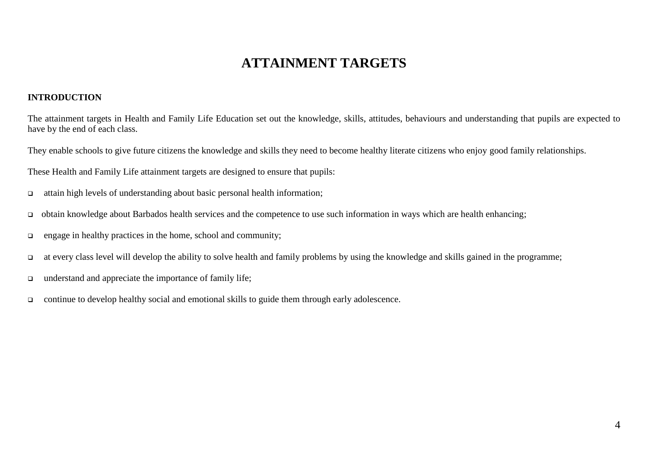# **ATTAINMENT TARGETS**

#### **INTRODUCTION**

The attainment targets in Health and Family Life Education set out the knowledge, skills, attitudes, behaviours and understanding that pupils are expected to have by the end of each class.

They enable schools to give future citizens the knowledge and skills they need to become healthy literate citizens who enjoy good family relationships.

These Health and Family Life attainment targets are designed to ensure that pupils:

- $\Box$  attain high levels of understanding about basic personal health information;
- obtain knowledge about Barbados health services and the competence to use such information in ways which are health enhancing;
- $\Box$  engage in healthy practices in the home, school and community;
- at every class level will develop the ability to solve health and family problems by using the knowledge and skills gained in the programme;
- $\Box$  understand and appreciate the importance of family life;
- continue to develop healthy social and emotional skills to guide them through early adolescence.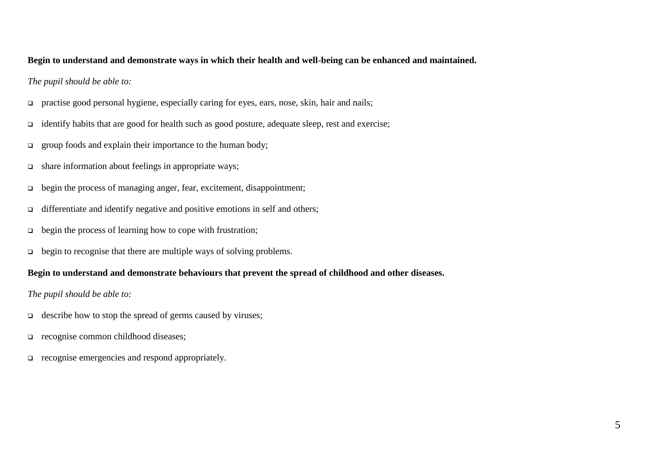#### **Begin to understand and demonstrate ways in which their health and well-being can be enhanced and maintained.**

#### *The pupil should be able to:*

- practise good personal hygiene, especially caring for eyes, ears, nose, skin, hair and nails;
- $\Box$  identify habits that are good for health such as good posture, adequate sleep, rest and exercise;
- $\Box$  group foods and explain their importance to the human body;
- $\Box$  share information about feelings in appropriate ways;
- begin the process of managing anger, fear, excitement, disappointment;
- $\Box$  differentiate and identify negative and positive emotions in self and others;
- $\Box$  begin the process of learning how to cope with frustration;
- $\Box$  begin to recognise that there are multiple ways of solving problems.

#### **Begin to understand and demonstrate behaviours that prevent the spread of childhood and other diseases.**

#### *The pupil should be able to:*

- $\Box$  describe how to stop the spread of germs caused by viruses;
- recognise common childhood diseases;
- □ recognise emergencies and respond appropriately.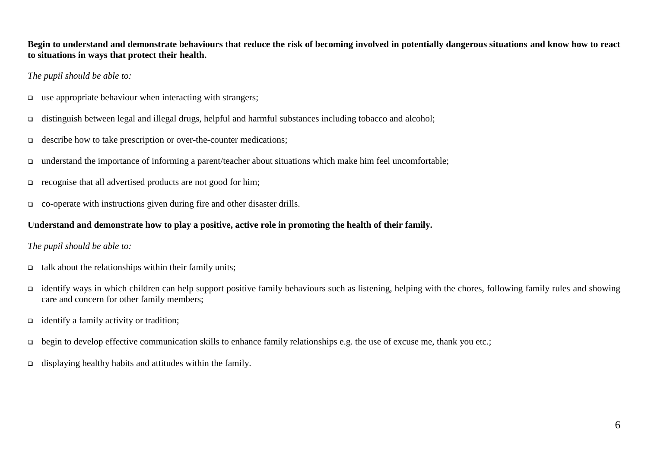**Begin to understand and demonstrate behaviours that reduce the risk of becoming involved in potentially dangerous situations and know how to react to situations in ways that protect their health.**

*The pupil should be able to:*

- use appropriate behaviour when interacting with strangers;
- distinguish between legal and illegal drugs, helpful and harmful substances including tobacco and alcohol;
- $\Box$  describe how to take prescription or over-the-counter medications;
- $\Box$  understand the importance of informing a parent/teacher about situations which make him feel uncomfortable;
- $\Box$  recognise that all advertised products are not good for him;
- co-operate with instructions given during fire and other disaster drills.

### **Understand and demonstrate how to play a positive, active role in promoting the health of their family.**

### *The pupil should be able to:*

- $\Box$  talk about the relationships within their family units;
- $\Box$  identify ways in which children can help support positive family behaviours such as listening, helping with the chores, following family rules and showing care and concern for other family members;
- $\Box$  identify a family activity or tradition;
- $\Box$  begin to develop effective communication skills to enhance family relationships e.g. the use of excuse me, thank you etc.;
- displaying healthy habits and attitudes within the family.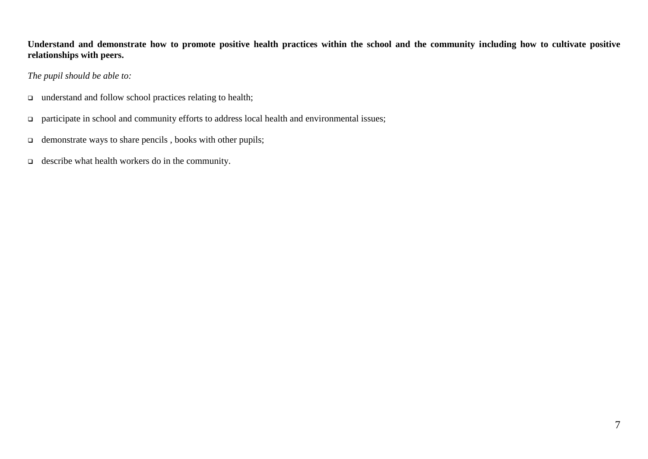**Understand and demonstrate how to promote positive health practices within the school and the community including how to cultivate positive relationships with peers.**

*The pupil should be able to:*

- understand and follow school practices relating to health;
- participate in school and community efforts to address local health and environmental issues;
- $\Box$  demonstrate ways to share pencils, books with other pupils;
- $\Box$  describe what health workers do in the community.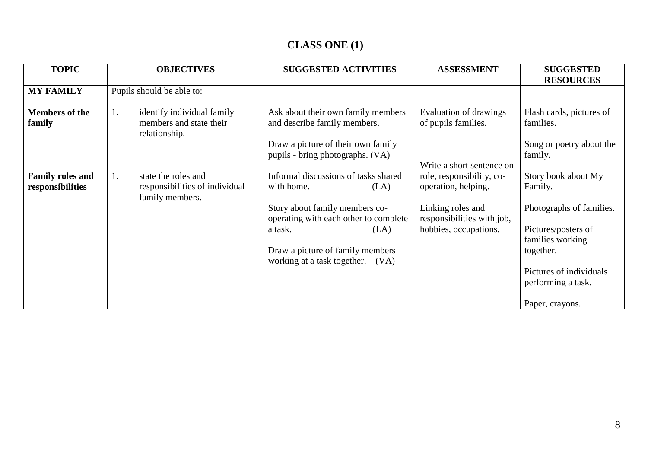# **CLASS ONE (1)**

| <b>TOPIC</b>                                | <b>OBJECTIVES</b>                                                              | <b>SUGGESTED ACTIVITIES</b>                                             | <b>ASSESSMENT</b>                                | <b>SUGGESTED</b><br><b>RESOURCES</b>          |
|---------------------------------------------|--------------------------------------------------------------------------------|-------------------------------------------------------------------------|--------------------------------------------------|-----------------------------------------------|
| <b>MY FAMILY</b>                            | Pupils should be able to:                                                      |                                                                         |                                                  |                                               |
| <b>Members of the</b><br>family             | identify individual family<br>1.<br>members and state their<br>relationship.   | Ask about their own family members<br>and describe family members.      | Evaluation of drawings<br>of pupils families.    | Flash cards, pictures of<br>families.         |
|                                             |                                                                                | Draw a picture of their own family<br>pupils - bring photographs. (VA)  | Write a short sentence on                        | Song or poetry about the<br>family.           |
| <b>Family roles and</b><br>responsibilities | state the roles and<br>1.<br>responsibilities of individual<br>family members. | Informal discussions of tasks shared<br>with home.<br>(LA)              | role, responsibility, co-<br>operation, helping. | Story book about My<br>Family.                |
|                                             |                                                                                | Story about family members co-<br>operating with each other to complete | Linking roles and<br>responsibilities with job,  | Photographs of families.                      |
|                                             |                                                                                | a task.<br>(LA)                                                         | hobbies, occupations.                            | Pictures/posters of<br>families working       |
|                                             |                                                                                | Draw a picture of family members<br>working at a task together.<br>(VA) |                                                  | together.                                     |
|                                             |                                                                                |                                                                         |                                                  | Pictures of individuals<br>performing a task. |
|                                             |                                                                                |                                                                         |                                                  | Paper, crayons.                               |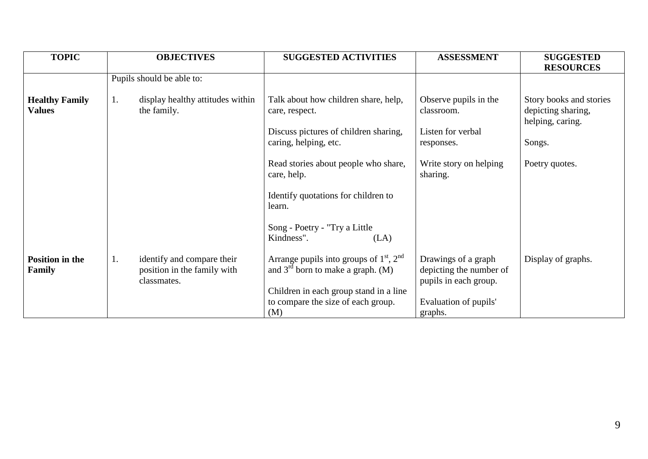| <b>TOPIC</b>                            | <b>OBJECTIVES</b>                                                              | <b>SUGGESTED ACTIVITIES</b>                                                                                                  | <b>ASSESSMENT</b>                                                       | <b>SUGGESTED</b>                                                  |
|-----------------------------------------|--------------------------------------------------------------------------------|------------------------------------------------------------------------------------------------------------------------------|-------------------------------------------------------------------------|-------------------------------------------------------------------|
|                                         | Pupils should be able to:                                                      |                                                                                                                              |                                                                         | <b>RESOURCES</b>                                                  |
|                                         |                                                                                |                                                                                                                              |                                                                         |                                                                   |
| <b>Healthy Family</b><br><b>Values</b>  | display healthy attitudes within<br>$\mathbf{I}$ .<br>the family.              | Talk about how children share, help,<br>care, respect.                                                                       | Observe pupils in the<br>classroom.                                     | Story books and stories<br>depicting sharing,<br>helping, caring. |
|                                         |                                                                                | Discuss pictures of children sharing,                                                                                        | Listen for verbal                                                       |                                                                   |
|                                         |                                                                                | caring, helping, etc.                                                                                                        | responses.                                                              | Songs.                                                            |
|                                         |                                                                                | Read stories about people who share,<br>care, help.                                                                          | Write story on helping<br>sharing.                                      | Poetry quotes.                                                    |
|                                         |                                                                                | Identify quotations for children to<br>learn.                                                                                |                                                                         |                                                                   |
|                                         |                                                                                | Song - Poetry - "Try a Little<br>Kindness".<br>(LA)                                                                          |                                                                         |                                                                   |
| <b>Position in the</b><br><b>Family</b> | identify and compare their<br>1.<br>position in the family with<br>classmates. | Arrange pupils into groups of $1st$ , $2nd$<br>and $3rd$ born to make a graph. (M)<br>Children in each group stand in a line | Drawings of a graph<br>depicting the number of<br>pupils in each group. | Display of graphs.                                                |
|                                         |                                                                                | to compare the size of each group.<br>(M)                                                                                    | Evaluation of pupils'<br>graphs.                                        |                                                                   |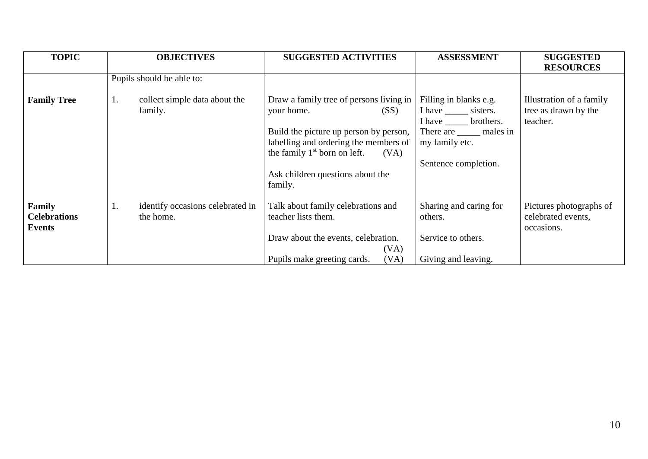| <b>TOPIC</b>                                   | <b>OBJECTIVES</b>                                   | <b>SUGGESTED ACTIVITIES</b>                                                                                                                                                                                                               | <b>ASSESSMENT</b>                                                                                                                                          | <b>SUGGESTED</b><br><b>RESOURCES</b>                         |
|------------------------------------------------|-----------------------------------------------------|-------------------------------------------------------------------------------------------------------------------------------------------------------------------------------------------------------------------------------------------|------------------------------------------------------------------------------------------------------------------------------------------------------------|--------------------------------------------------------------|
|                                                | Pupils should be able to:                           |                                                                                                                                                                                                                                           |                                                                                                                                                            |                                                              |
| <b>Family Tree</b>                             | collect simple data about the<br>1.<br>family.      | Draw a family tree of persons living in<br>your home.<br>(SS)<br>Build the picture up person by person,<br>labelling and ordering the members of<br>the family $1st$ born on left.<br>(VA)<br>Ask children questions about the<br>family. | Filling in blanks e.g.<br>I have _______ sisters.<br>I have brothers.<br>There are <u>equilibration</u> males in<br>my family etc.<br>Sentence completion. | Illustration of a family<br>tree as drawn by the<br>teacher. |
| Family<br><b>Celebrations</b><br><b>Events</b> | identify occasions celebrated in<br>1.<br>the home. | Talk about family celebrations and<br>teacher lists them.<br>Draw about the events, celebration.<br>(VA)<br>Pupils make greeting cards.<br>(VA)                                                                                           | Sharing and caring for<br>others.<br>Service to others.<br>Giving and leaving.                                                                             | Pictures photographs of<br>celebrated events,<br>occasions.  |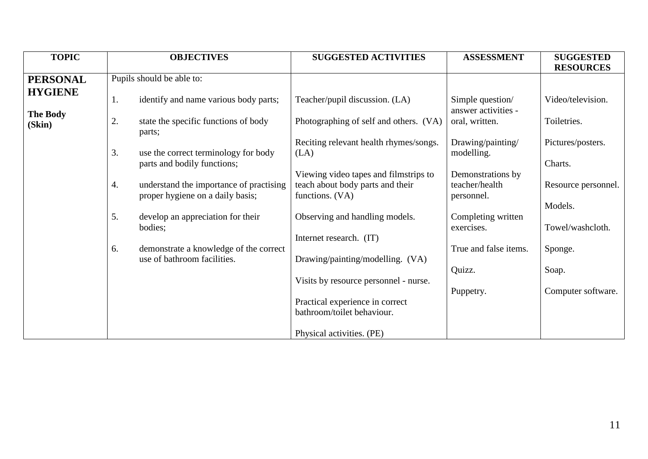| <b>TOPIC</b>    |    | <b>OBJECTIVES</b>                              | <b>SUGGESTED ACTIVITIES</b>                    | <b>ASSESSMENT</b>               | <b>SUGGESTED</b>    |
|-----------------|----|------------------------------------------------|------------------------------------------------|---------------------------------|---------------------|
|                 |    |                                                |                                                |                                 | <b>RESOURCES</b>    |
| <b>PERSONAL</b> |    | Pupils should be able to:                      |                                                |                                 |                     |
| <b>HYGIENE</b>  | 1. | identify and name various body parts;          | Teacher/pupil discussion. (LA)                 | Simple question/                | Video/television.   |
| <b>The Body</b> |    |                                                |                                                | answer activities -             |                     |
| (Skin)          | 2. | state the specific functions of body<br>parts; | Photographing of self and others. (VA)         | oral, written.                  | Toiletries.         |
|                 | 3. | use the correct terminology for body           | Reciting relevant health rhymes/songs.<br>(LA) | Drawing/painting/<br>modelling. | Pictures/posters.   |
|                 |    | parts and bodily functions;                    |                                                |                                 | Charts.             |
|                 |    |                                                | Viewing video tapes and filmstrips to          | Demonstrations by               |                     |
|                 | 4. | understand the importance of practising        | teach about body parts and their               | teacher/health                  | Resource personnel. |
|                 |    | proper hygiene on a daily basis;               | functions. (VA)                                | personnel.                      |                     |
|                 |    |                                                |                                                |                                 | Models.             |
|                 | 5. | develop an appreciation for their              | Observing and handling models.                 | Completing written              |                     |
|                 |    | bodies;                                        |                                                | exercises.                      | Towel/washcloth.    |
|                 |    |                                                | Internet research. (IT)                        |                                 |                     |
|                 | 6. | demonstrate a knowledge of the correct         |                                                | True and false items.           | Sponge.             |
|                 |    | use of bathroom facilities.                    | Drawing/painting/modelling. (VA)               |                                 |                     |
|                 |    |                                                |                                                | Quizz.                          | Soap.               |
|                 |    |                                                | Visits by resource personnel - nurse.          |                                 |                     |
|                 |    |                                                |                                                | Puppetry.                       | Computer software.  |
|                 |    |                                                | Practical experience in correct                |                                 |                     |
|                 |    |                                                | bathroom/toilet behaviour.                     |                                 |                     |
|                 |    |                                                | Physical activities. (PE)                      |                                 |                     |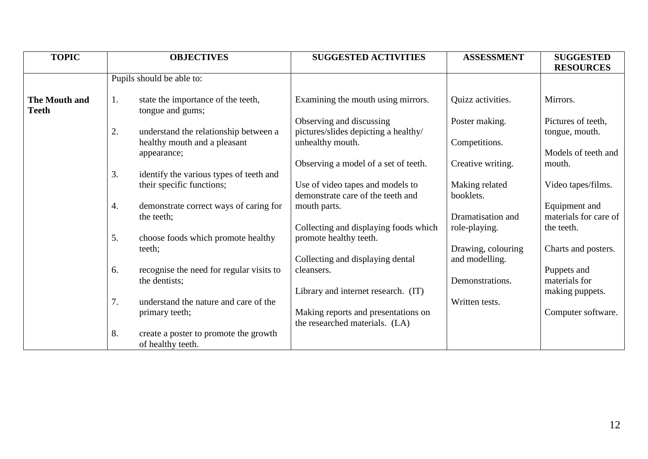| <b>TOPIC</b>                         | <b>OBJECTIVES</b>                                                | <b>SUGGESTED ACTIVITIES</b>                                           | <b>ASSESSMENT</b>                    | <b>SUGGESTED</b><br><b>RESOURCES</b>   |
|--------------------------------------|------------------------------------------------------------------|-----------------------------------------------------------------------|--------------------------------------|----------------------------------------|
|                                      | Pupils should be able to:                                        |                                                                       |                                      |                                        |
| <b>The Mouth and</b><br><b>Teeth</b> | state the importance of the teeth,<br>1.<br>tongue and gums;     | Examining the mouth using mirrors.                                    | Quizz activities.                    | Mirrors.                               |
|                                      | 2.<br>understand the relationship between a                      | Observing and discussing<br>pictures/slides depicting a healthy/      | Poster making.                       | Pictures of teeth,<br>tongue, mouth.   |
|                                      | healthy mouth and a pleasant<br>appearance;                      | unhealthy mouth.                                                      | Competitions.                        | Models of teeth and                    |
|                                      | 3.<br>identify the various types of teeth and                    | Observing a model of a set of teeth.                                  | Creative writing.                    | mouth.                                 |
|                                      | their specific functions;                                        | Use of video tapes and models to<br>demonstrate care of the teeth and | Making related<br>booklets.          | Video tapes/films.                     |
|                                      | 4.<br>demonstrate correct ways of caring for<br>the teeth;       | mouth parts.                                                          | Dramatisation and                    | Equipment and<br>materials for care of |
|                                      | 5.<br>choose foods which promote healthy                         | Collecting and displaying foods which<br>promote healthy teeth.       | role-playing.                        | the teeth.                             |
|                                      | teeth;                                                           | Collecting and displaying dental                                      | Drawing, colouring<br>and modelling. | Charts and posters.                    |
|                                      | recognise the need for regular visits to<br>6.<br>the dentists;  | cleansers.                                                            | Demonstrations.                      | Puppets and<br>materials for           |
|                                      | 7.<br>understand the nature and care of the                      | Library and internet research. (IT)                                   | Written tests.                       | making puppets.                        |
|                                      | primary teeth;                                                   | Making reports and presentations on<br>the researched materials. (LA) |                                      | Computer software.                     |
|                                      | 8.<br>create a poster to promote the growth<br>of healthy teeth. |                                                                       |                                      |                                        |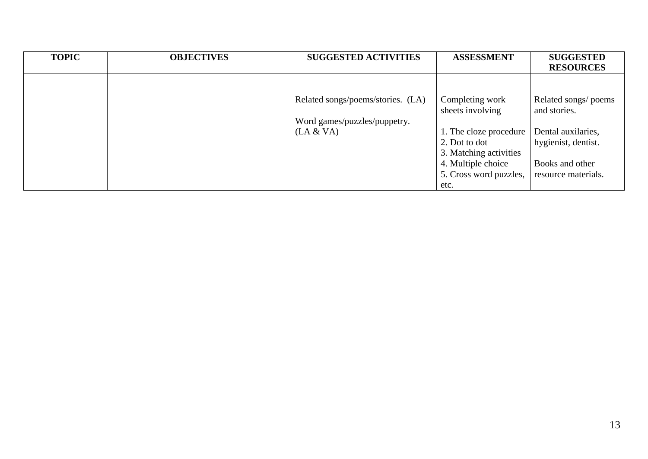| <b>TOPIC</b> | <b>OBJECTIVES</b> | <b>SUGGESTED ACTIVITIES</b>       | <b>ASSESSMENT</b>                   | <b>SUGGESTED</b>                     |
|--------------|-------------------|-----------------------------------|-------------------------------------|--------------------------------------|
|              |                   |                                   |                                     | <b>RESOURCES</b>                     |
|              |                   |                                   |                                     |                                      |
|              |                   | Related songs/poems/stories. (LA) | Completing work<br>sheets involving | Related songs/ poems<br>and stories. |
|              |                   | Word games/puzzles/puppetry.      |                                     |                                      |
|              |                   | (LA & VA)                         | 1. The cloze procedure              | Dental auxilaries,                   |
|              |                   |                                   | 2. Dot to dot                       | hygienist, dentist.                  |
|              |                   |                                   | 3. Matching activities              |                                      |
|              |                   |                                   | 4. Multiple choice                  | Books and other                      |
|              |                   |                                   | 5. Cross word puzzles,              | resource materials.                  |
|              |                   |                                   | etc.                                |                                      |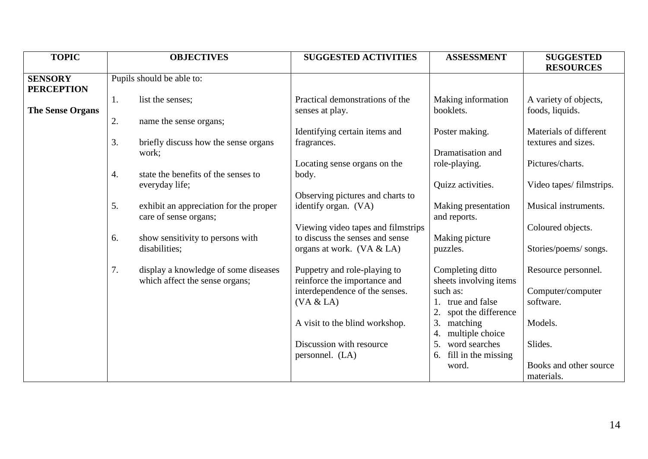| <b>TOPIC</b>            |    | <b>OBJECTIVES</b>                      | <b>SUGGESTED ACTIVITIES</b>        | <b>ASSESSMENT</b>         | <b>SUGGESTED</b>        |
|-------------------------|----|----------------------------------------|------------------------------------|---------------------------|-------------------------|
|                         |    |                                        |                                    |                           | <b>RESOURCES</b>        |
| <b>SENSORY</b>          |    | Pupils should be able to:              |                                    |                           |                         |
| <b>PERCEPTION</b>       |    |                                        |                                    |                           |                         |
|                         | 1. | list the senses;                       | Practical demonstrations of the    | Making information        | A variety of objects,   |
| <b>The Sense Organs</b> |    |                                        | senses at play.                    | booklets.                 | foods, liquids.         |
|                         | 2. | name the sense organs;                 |                                    |                           |                         |
|                         |    |                                        | Identifying certain items and      | Poster making.            | Materials of different  |
|                         | 3. | briefly discuss how the sense organs   | fragrances.                        |                           | textures and sizes.     |
|                         |    |                                        |                                    | Dramatisation and         |                         |
|                         |    | work;                                  |                                    |                           |                         |
|                         |    |                                        | Locating sense organs on the       | role-playing.             | Pictures/charts.        |
|                         | 4. | state the benefits of the senses to    | body.                              |                           |                         |
|                         |    | everyday life;                         |                                    | Quizz activities.         | Video tapes/filmstrips. |
|                         |    |                                        | Observing pictures and charts to   |                           |                         |
|                         | 5. | exhibit an appreciation for the proper | identify organ. (VA)               | Making presentation       | Musical instruments.    |
|                         |    | care of sense organs;                  |                                    | and reports.              |                         |
|                         |    |                                        | Viewing video tapes and filmstrips |                           | Coloured objects.       |
|                         | 6. | show sensitivity to persons with       | to discuss the senses and sense    | Making picture            |                         |
|                         |    | disabilities;                          | organs at work. $(VA & LA)$        | puzzles.                  | Stories/poems/ songs.   |
|                         |    |                                        |                                    |                           |                         |
|                         | 7. |                                        |                                    |                           |                         |
|                         |    | display a knowledge of some diseases   | Puppetry and role-playing to       | Completing ditto          | Resource personnel.     |
|                         |    | which affect the sense organs;         | reinforce the importance and       | sheets involving items    |                         |
|                         |    |                                        | interdependence of the senses.     | such as:                  | Computer/computer       |
|                         |    |                                        | (VA & LA)                          | true and false            | software.               |
|                         |    |                                        |                                    | spot the difference       |                         |
|                         |    |                                        | A visit to the blind workshop.     | 3.<br>matching            | Models.                 |
|                         |    |                                        |                                    | multiple choice           |                         |
|                         |    |                                        | Discussion with resource           | word searches<br>5.       | Slides.                 |
|                         |    |                                        | personnel. (LA)                    | fill in the missing<br>6. |                         |
|                         |    |                                        |                                    | word.                     | Books and other source  |
|                         |    |                                        |                                    |                           | materials.              |
|                         |    |                                        |                                    |                           |                         |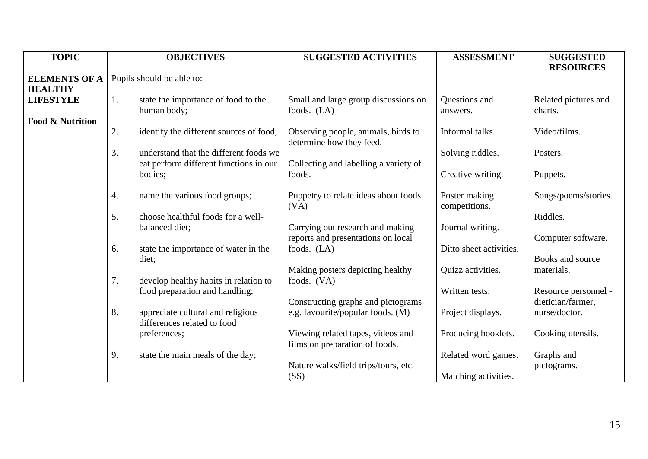| <b>TOPIC</b>                |    | <b>OBJECTIVES</b>                       | <b>SUGGESTED ACTIVITIES</b>           | <b>ASSESSMENT</b>       | <b>SUGGESTED</b>     |
|-----------------------------|----|-----------------------------------------|---------------------------------------|-------------------------|----------------------|
|                             |    |                                         |                                       |                         | <b>RESOURCES</b>     |
| <b>ELEMENTS OF A</b>        |    | Pupils should be able to:               |                                       |                         |                      |
| <b>HEALTHY</b>              |    |                                         |                                       |                         |                      |
| <b>LIFESTYLE</b>            | 1. | state the importance of food to the     | Small and large group discussions on  | Questions and           | Related pictures and |
|                             |    | human body;                             | foods. $(LA)$                         | answers.                | charts.              |
| <b>Food &amp; Nutrition</b> |    |                                         |                                       |                         |                      |
|                             | 2. | identify the different sources of food; | Observing people, animals, birds to   | Informal talks.         | Video/films.         |
|                             |    |                                         |                                       |                         |                      |
|                             |    |                                         | determine how they feed.              |                         |                      |
|                             | 3. | understand that the different foods we  |                                       | Solving riddles.        | Posters.             |
|                             |    | eat perform different functions in our  | Collecting and labelling a variety of |                         |                      |
|                             |    | bodies;                                 | foods.                                | Creative writing.       | Puppets.             |
|                             |    |                                         |                                       |                         |                      |
|                             | 4. | name the various food groups;           | Puppetry to relate ideas about foods. | Poster making           | Songs/poems/stories. |
|                             |    |                                         | (VA)                                  | competitions.           |                      |
|                             | 5. | choose healthful foods for a well-      |                                       |                         | Riddles.             |
|                             |    | balanced diet;                          | Carrying out research and making      | Journal writing.        |                      |
|                             |    |                                         |                                       |                         |                      |
|                             |    |                                         | reports and presentations on local    |                         | Computer software.   |
|                             | 6. | state the importance of water in the    | foods. (LA)                           | Ditto sheet activities. |                      |
|                             |    | diet;                                   |                                       |                         | Books and source     |
|                             |    |                                         | Making posters depicting healthy      | Quizz activities.       | materials.           |
|                             | 7. | develop healthy habits in relation to   | foods. (VA)                           |                         |                      |
|                             |    | food preparation and handling;          |                                       | Written tests.          | Resource personnel - |
|                             |    |                                         | Constructing graphs and pictograms    |                         | dietician/farmer,    |
|                             | 8. | appreciate cultural and religious       | e.g. favourite/popular foods. (M)     | Project displays.       | nurse/doctor.        |
|                             |    | differences related to food             |                                       |                         |                      |
|                             |    |                                         |                                       |                         |                      |
|                             |    | preferences;                            | Viewing related tapes, videos and     | Producing booklets.     | Cooking utensils.    |
|                             |    |                                         | films on preparation of foods.        |                         |                      |
|                             | 9. | state the main meals of the day;        |                                       | Related word games.     | Graphs and           |
|                             |    |                                         | Nature walks/field trips/tours, etc.  |                         | pictograms.          |
|                             |    |                                         | (SS)                                  | Matching activities.    |                      |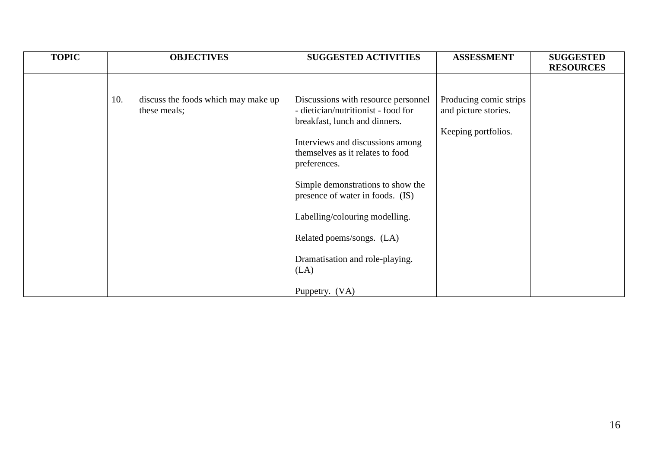| <b>TOPIC</b> | <b>OBJECTIVES</b>                                          | <b>SUGGESTED ACTIVITIES</b>                                                                                                                                                                                                                                                                                                                                                                              | <b>ASSESSMENT</b>                                                     | <b>SUGGESTED</b><br><b>RESOURCES</b> |
|--------------|------------------------------------------------------------|----------------------------------------------------------------------------------------------------------------------------------------------------------------------------------------------------------------------------------------------------------------------------------------------------------------------------------------------------------------------------------------------------------|-----------------------------------------------------------------------|--------------------------------------|
|              | discuss the foods which may make up<br>10.<br>these meals; | Discussions with resource personnel<br>- dietician/nutritionist - food for<br>breakfast, lunch and dinners.<br>Interviews and discussions among<br>themselves as it relates to food<br>preferences.<br>Simple demonstrations to show the<br>presence of water in foods. (IS)<br>Labelling/colouring modelling.<br>Related poems/songs. (LA)<br>Dramatisation and role-playing.<br>(LA)<br>Puppetry. (VA) | Producing comic strips<br>and picture stories.<br>Keeping portfolios. |                                      |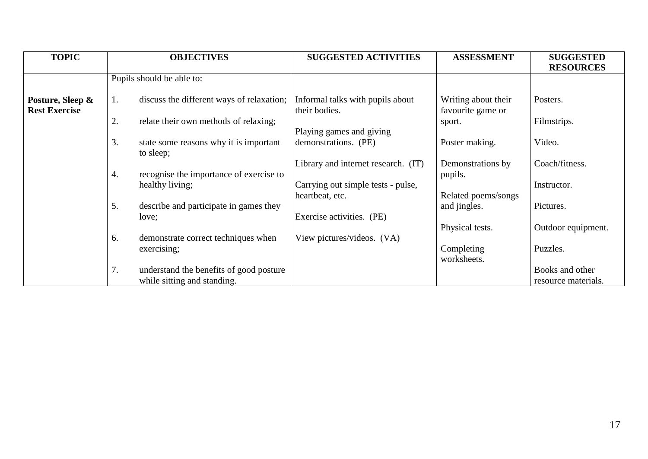| <b>TOPIC</b>         | <b>OBJECTIVES</b>         |                                           | <b>SUGGESTED ACTIVITIES</b>         | <b>ASSESSMENT</b>   | <b>SUGGESTED</b>    |
|----------------------|---------------------------|-------------------------------------------|-------------------------------------|---------------------|---------------------|
|                      |                           |                                           |                                     |                     | <b>RESOURCES</b>    |
|                      | Pupils should be able to: |                                           |                                     |                     |                     |
|                      |                           |                                           |                                     |                     |                     |
| Posture, Sleep &     | 1.                        | discuss the different ways of relaxation; | Informal talks with pupils about    | Writing about their | Posters.            |
| <b>Rest Exercise</b> |                           |                                           | their bodies.                       | favourite game or   |                     |
|                      | 2.                        | relate their own methods of relaxing;     |                                     | sport.              | Filmstrips.         |
|                      |                           |                                           | Playing games and giving            |                     |                     |
|                      | 3.                        | state some reasons why it is important    | demonstrations. (PE)                | Poster making.      | Video.              |
|                      | to sleep;                 |                                           |                                     |                     |                     |
|                      |                           |                                           | Library and internet research. (IT) | Demonstrations by   | Coach/fitness.      |
|                      | 4.                        | recognise the importance of exercise to   |                                     | pupils.             |                     |
|                      | healthy living;           |                                           | Carrying out simple tests - pulse,  |                     | Instructor.         |
|                      |                           |                                           | heartbeat, etc.                     | Related poems/songs |                     |
|                      | 5.                        | describe and participate in games they    |                                     | and jingles.        | Pictures.           |
|                      | love;                     |                                           | Exercise activities. (PE)           |                     |                     |
|                      |                           |                                           |                                     | Physical tests.     | Outdoor equipment.  |
|                      | 6.                        | demonstrate correct techniques when       | View pictures/videos. (VA)          |                     |                     |
|                      | exercising;               |                                           |                                     | Completing          | Puzzles.            |
|                      |                           |                                           |                                     | worksheets.         |                     |
|                      | 7.                        | understand the benefits of good posture   |                                     |                     | Books and other     |
|                      |                           | while sitting and standing.               |                                     |                     | resource materials. |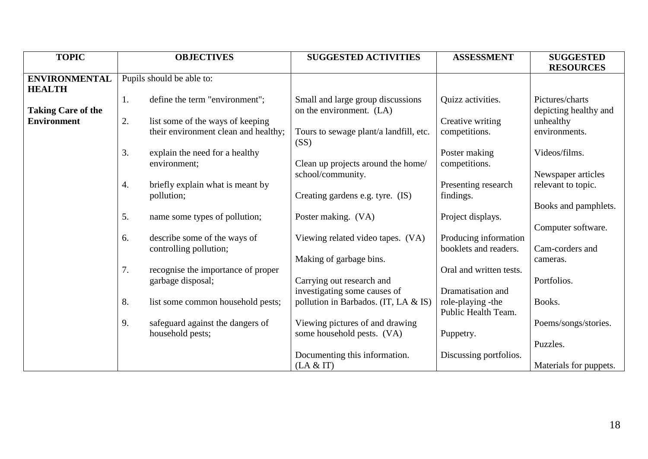| <b>TOPIC</b>              |                           | <b>OBJECTIVES</b>                    | <b>SUGGESTED ACTIVITIES</b>                    | <b>ASSESSMENT</b>       | <b>SUGGESTED</b>       |
|---------------------------|---------------------------|--------------------------------------|------------------------------------------------|-------------------------|------------------------|
|                           |                           |                                      |                                                |                         | <b>RESOURCES</b>       |
| <b>ENVIRONMENTAL</b>      | Pupils should be able to: |                                      |                                                |                         |                        |
| <b>HEALTH</b>             |                           |                                      |                                                |                         |                        |
|                           | 1.                        | define the term "environment";       | Small and large group discussions              | Quizz activities.       | Pictures/charts        |
| <b>Taking Care of the</b> |                           |                                      | on the environment. (LA)                       |                         | depicting healthy and  |
| <b>Environment</b>        | 2.                        | list some of the ways of keeping     |                                                | Creative writing        | unhealthy              |
|                           |                           | their environment clean and healthy; | Tours to sewage plant/a landfill, etc.<br>(SS) | competitions.           | environments.          |
|                           | 3.                        | explain the need for a healthy       |                                                | Poster making           | Videos/films.          |
|                           | environment;              |                                      | Clean up projects around the home/             | competitions.           |                        |
|                           |                           |                                      | school/community.                              |                         | Newspaper articles     |
|                           | 4.                        | briefly explain what is meant by     |                                                | Presenting research     | relevant to topic.     |
|                           | pollution;                |                                      | Creating gardens e.g. tyre. (IS)               | findings.               |                        |
|                           |                           |                                      |                                                |                         | Books and pamphlets.   |
|                           | 5.                        | name some types of pollution;        | Poster making. (VA)                            | Project displays.       |                        |
|                           |                           |                                      |                                                |                         | Computer software.     |
|                           | 6.                        | describe some of the ways of         | Viewing related video tapes. (VA)              | Producing information   |                        |
|                           | controlling pollution;    |                                      |                                                | booklets and readers.   | Cam-corders and        |
|                           |                           |                                      | Making of garbage bins.                        |                         | cameras.               |
|                           | 7.                        | recognise the importance of proper   |                                                | Oral and written tests. |                        |
|                           | garbage disposal;         |                                      | Carrying out research and                      |                         | Portfolios.            |
|                           |                           |                                      | investigating some causes of                   | Dramatisation and       |                        |
|                           | 8.                        | list some common household pests;    | pollution in Barbados. (IT, LA & IS)           | role-playing -the       | Books.                 |
|                           |                           |                                      |                                                | Public Health Team.     |                        |
|                           | 9.                        | safeguard against the dangers of     | Viewing pictures of and drawing                |                         | Poems/songs/stories.   |
|                           | household pests;          |                                      | some household pests. (VA)                     | Puppetry.               |                        |
|                           |                           |                                      |                                                |                         | Puzzles.               |
|                           |                           |                                      | Documenting this information.                  | Discussing portfolios.  |                        |
|                           |                           |                                      | (LA & T)                                       |                         | Materials for puppets. |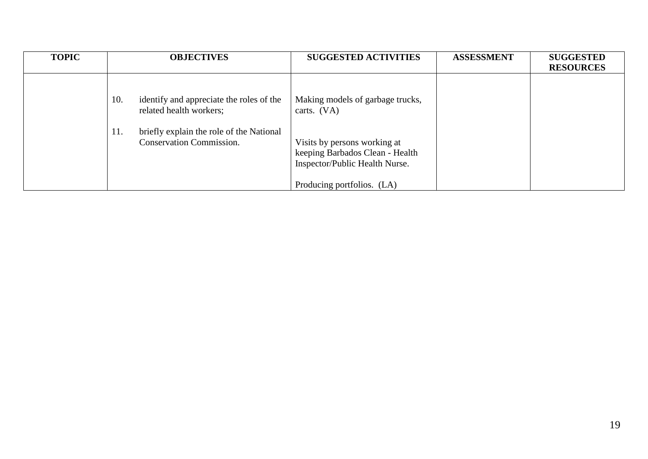| <b>TOPIC</b> | <b>OBJECTIVES</b>                                                                  | <b>SUGGESTED ACTIVITIES</b>                                                                       | <b>ASSESSMENT</b> | <b>SUGGESTED</b><br><b>RESOURCES</b> |
|--------------|------------------------------------------------------------------------------------|---------------------------------------------------------------------------------------------------|-------------------|--------------------------------------|
|              | identify and appreciate the roles of the<br>10.<br>related health workers;         | Making models of garbage trucks,<br>carts. $(VA)$                                                 |                   |                                      |
|              | briefly explain the role of the National<br>11.<br><b>Conservation Commission.</b> | Visits by persons working at<br>keeping Barbados Clean - Health<br>Inspector/Public Health Nurse. |                   |                                      |
|              |                                                                                    | Producing portfolios. (LA)                                                                        |                   |                                      |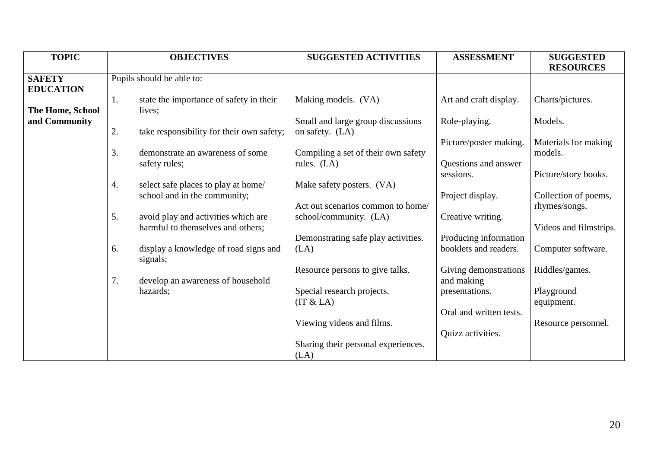| <b>TOPIC</b>                      | <b>OBJECTIVES</b>                                                              | <b>SUGGESTED ACTIVITIES</b>                          | <b>ASSESSMENT</b>                              | <b>SUGGESTED</b><br><b>RESOURCES</b>  |
|-----------------------------------|--------------------------------------------------------------------------------|------------------------------------------------------|------------------------------------------------|---------------------------------------|
| <b>SAFETY</b><br><b>EDUCATION</b> | Pupils should be able to:                                                      |                                                      |                                                |                                       |
| The Home, School                  | state the importance of safety in their<br>1.<br>lives;                        | Making models. (VA)                                  | Art and craft display.                         | Charts/pictures.                      |
| and Community                     | 2.<br>take responsibility for their own safety;                                | Small and large group discussions<br>on safety. (LA) | Role-playing.                                  | Models.                               |
|                                   | 3.<br>demonstrate an awareness of some                                         | Compiling a set of their own safety                  | Picture/poster making.                         | Materials for making<br>models.       |
|                                   | safety rules;                                                                  | rules. (LA)                                          | Questions and answer<br>sessions.              |                                       |
|                                   | select safe places to play at home/<br>4.                                      | Make safety posters. (VA)                            |                                                | Picture/story books.                  |
|                                   | school and in the community;                                                   | Act out scenarios common to home/                    | Project display.                               | Collection of poems,<br>rhymes/songs. |
|                                   | 5.<br>avoid play and activities which are<br>harmful to themselves and others; | school/community. (LA)                               | Creative writing.                              | Videos and filmstrips.                |
|                                   | display a knowledge of road signs and<br>6.<br>signals;                        | Demonstrating safe play activities.<br>(LA)          | Producing information<br>booklets and readers. | Computer software.                    |
|                                   | 7.<br>develop an awareness of household                                        | Resource persons to give talks.                      | Giving demonstrations<br>and making            | Riddles/games.                        |
|                                   | hazards;                                                                       | Special research projects.<br>(IT & LA)              | presentations.                                 | Playground<br>equipment.              |
|                                   |                                                                                | Viewing videos and films.                            | Oral and written tests.                        |                                       |
|                                   |                                                                                |                                                      | Quizz activities.                              | Resource personnel.                   |
|                                   |                                                                                | Sharing their personal experiences.<br>(LA)          |                                                |                                       |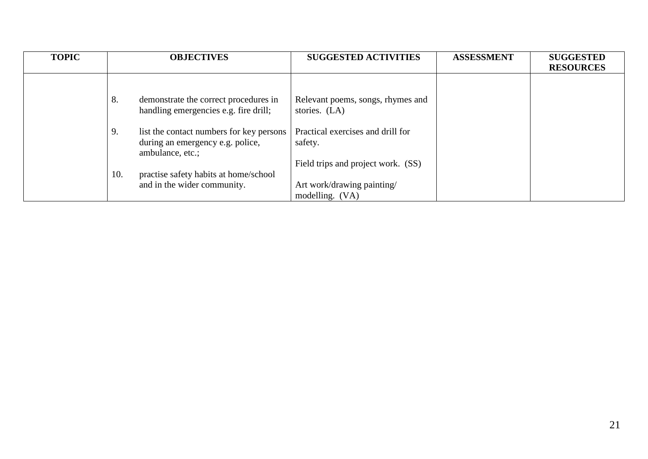| <b>TOPIC</b> | <b>OBJECTIVES</b>                                                                                      | <b>SUGGESTED ACTIVITIES</b>                                                        | <b>ASSESSMENT</b> | <b>SUGGESTED</b><br><b>RESOURCES</b> |
|--------------|--------------------------------------------------------------------------------------------------------|------------------------------------------------------------------------------------|-------------------|--------------------------------------|
|              | 8.<br>demonstrate the correct procedures in<br>handling emergencies e.g. fire drill;                   | Relevant poems, songs, rhymes and<br>stories. (LA)                                 |                   |                                      |
|              | 9.<br>list the contact numbers for key persons<br>during an emergency e.g. police,<br>ambulance, etc.; | Practical exercises and drill for<br>safety.<br>Field trips and project work. (SS) |                   |                                      |
|              | 10.<br>practise safety habits at home/school<br>and in the wider community.                            | Art work/drawing painting/<br>modelling. (VA)                                      |                   |                                      |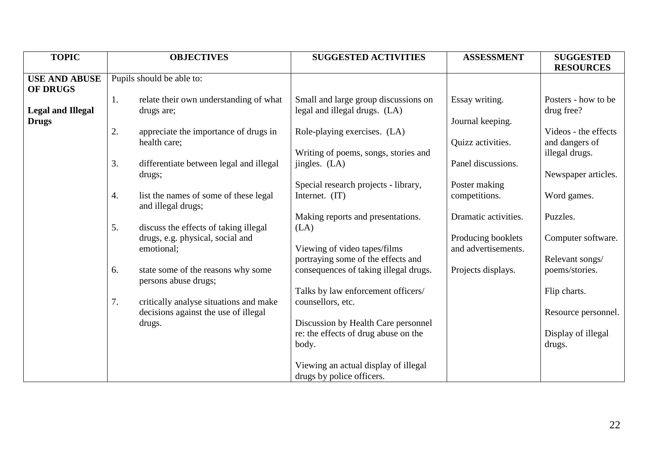| <b>TOPIC</b>                            | <b>OBJECTIVES</b>                                                 | <b>SUGGESTED ACTIVITIES</b>                                                 | <b>ASSESSMENT</b>    | <b>SUGGESTED</b>                       |
|-----------------------------------------|-------------------------------------------------------------------|-----------------------------------------------------------------------------|----------------------|----------------------------------------|
|                                         |                                                                   |                                                                             |                      | <b>RESOURCES</b>                       |
| <b>USE AND ABUSE</b><br><b>OF DRUGS</b> | Pupils should be able to:                                         |                                                                             |                      |                                        |
| <b>Legal and Illegal</b>                | relate their own understanding of what<br>1.<br>drugs are;        | Small and large group discussions on<br>legal and illegal drugs. (LA)       | Essay writing.       | Posters - how to be<br>drug free?      |
| <b>Drugs</b>                            |                                                                   |                                                                             | Journal keeping.     |                                        |
|                                         | 2.<br>appreciate the importance of drugs in<br>health care;       | Role-playing exercises. (LA)                                                | Quizz activities.    | Videos - the effects<br>and dangers of |
|                                         |                                                                   | Writing of poems, songs, stories and                                        |                      | illegal drugs.                         |
|                                         | 3.<br>differentiate between legal and illegal<br>drugs;           | $\text{jingles. (LA)}$                                                      | Panel discussions.   | Newspaper articles.                    |
|                                         |                                                                   | Special research projects - library,                                        | Poster making        |                                        |
|                                         | list the names of some of these legal<br>4.<br>and illegal drugs; | Internet. (IT)                                                              | competitions.        | Word games.                            |
|                                         | 5.<br>discuss the effects of taking illegal                       | Making reports and presentations.<br>(LA)                                   | Dramatic activities. | Puzzles.                               |
|                                         | drugs, e.g. physical, social and                                  |                                                                             | Producing booklets   | Computer software.                     |
|                                         | emotional;                                                        | Viewing of video tapes/films<br>portraying some of the effects and          | and advertisements.  | Relevant songs/                        |
|                                         | state some of the reasons why some<br>6.<br>persons abuse drugs;  | consequences of taking illegal drugs.                                       | Projects displays.   | poems/stories.                         |
|                                         | 7.<br>critically analyse situations and make                      | Talks by law enforcement officers/<br>counsellors, etc.                     |                      | Flip charts.                           |
|                                         | decisions against the use of illegal                              |                                                                             |                      | Resource personnel.                    |
|                                         | drugs.                                                            | Discussion by Health Care personnel<br>re: the effects of drug abuse on the |                      | Display of illegal                     |
|                                         |                                                                   | body.                                                                       |                      | drugs.                                 |
|                                         |                                                                   | Viewing an actual display of illegal                                        |                      |                                        |
|                                         |                                                                   | drugs by police officers.                                                   |                      |                                        |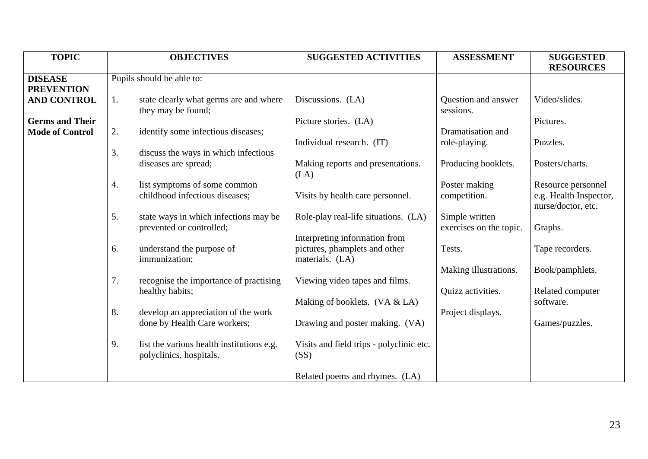| <b>TOPIC</b>           |    | <b>OBJECTIVES</b>                         | <b>SUGGESTED ACTIVITIES</b>              | <b>ASSESSMENT</b>       | <b>SUGGESTED</b>       |
|------------------------|----|-------------------------------------------|------------------------------------------|-------------------------|------------------------|
|                        |    |                                           |                                          |                         | <b>RESOURCES</b>       |
| <b>DISEASE</b>         |    | Pupils should be able to:                 |                                          |                         |                        |
| <b>PREVENTION</b>      |    |                                           |                                          |                         |                        |
| <b>AND CONTROL</b>     | 1. | state clearly what germs are and where    | Discussions. (LA)                        | Question and answer     | Video/slides.          |
|                        |    | they may be found;                        |                                          | sessions.               |                        |
| <b>Germs and Their</b> |    |                                           | Picture stories. (LA)                    |                         | Pictures.              |
| <b>Mode of Control</b> | 2. | identify some infectious diseases;        |                                          | Dramatisation and       |                        |
|                        |    |                                           | Individual research. (IT)                | role-playing.           | Puzzles.               |
|                        | 3. | discuss the ways in which infectious      |                                          |                         |                        |
|                        |    | diseases are spread;                      | Making reports and presentations.        | Producing booklets.     | Posters/charts.        |
|                        |    |                                           | (LA)                                     |                         |                        |
|                        | 4. | list symptoms of some common              |                                          | Poster making           | Resource personnel     |
|                        |    | childhood infectious diseases;            | Visits by health care personnel.         | competition.            | e.g. Health Inspector, |
|                        |    |                                           |                                          |                         | nurse/doctor, etc.     |
|                        | 5. | state ways in which infections may be     | Role-play real-life situations. (LA)     | Simple written          |                        |
|                        |    | prevented or controlled;                  |                                          |                         |                        |
|                        |    |                                           |                                          | exercises on the topic. | Graphs.                |
|                        |    |                                           | Interpreting information from            |                         |                        |
|                        | 6. | understand the purpose of                 | pictures, phamplets and other            | Tests.                  | Tape recorders.        |
|                        |    | immunization;                             | materials. (LA)                          |                         |                        |
|                        |    |                                           |                                          | Making illustrations.   | Book/pamphlets.        |
|                        | 7. | recognise the importance of practising    | Viewing video tapes and films.           |                         |                        |
|                        |    | healthy habits;                           |                                          | Quizz activities.       | Related computer       |
|                        |    |                                           | Making of booklets. (VA & LA)            |                         | software.              |
|                        | 8. | develop an appreciation of the work       |                                          | Project displays.       |                        |
|                        |    | done by Health Care workers;              | Drawing and poster making. (VA)          |                         | Games/puzzles.         |
|                        |    |                                           |                                          |                         |                        |
|                        | 9. | list the various health institutions e.g. | Visits and field trips - polyclinic etc. |                         |                        |
|                        |    | polyclinics, hospitals.                   | (SS)                                     |                         |                        |
|                        |    |                                           |                                          |                         |                        |
|                        |    |                                           | Related poems and rhymes. (LA)           |                         |                        |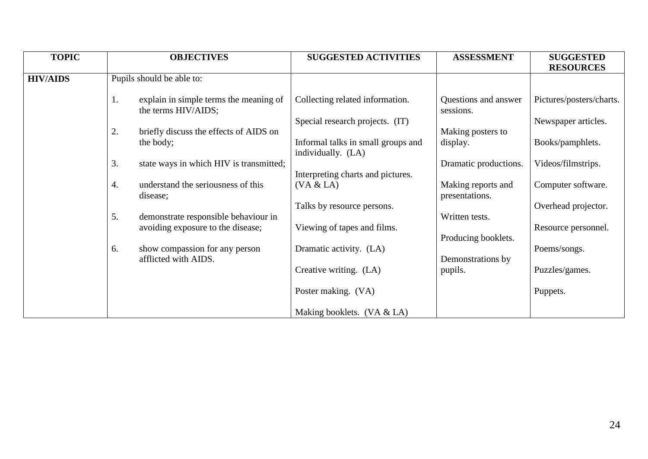| <b>TOPIC</b>    |    | <b>OBJECTIVES</b>                       | <b>SUGGESTED ACTIVITIES</b>        | <b>ASSESSMENT</b>     | <b>SUGGESTED</b>         |
|-----------------|----|-----------------------------------------|------------------------------------|-----------------------|--------------------------|
|                 |    |                                         |                                    |                       | <b>RESOURCES</b>         |
| <b>HIV/AIDS</b> |    | Pupils should be able to:               |                                    |                       |                          |
|                 |    |                                         |                                    |                       |                          |
|                 | 1. | explain in simple terms the meaning of  | Collecting related information.    | Questions and answer  | Pictures/posters/charts. |
|                 |    | the terms HIV/AIDS;                     |                                    | sessions.             |                          |
|                 |    |                                         | Special research projects. (IT)    |                       | Newspaper articles.      |
|                 | 2. | briefly discuss the effects of AIDS on  |                                    | Making posters to     |                          |
|                 |    | the body;                               | Informal talks in small groups and | display.              | Books/pamphlets.         |
|                 |    |                                         | individually. (LA)                 |                       |                          |
|                 | 3. | state ways in which HIV is transmitted; |                                    | Dramatic productions. | Videos/filmstrips.       |
|                 |    |                                         | Interpreting charts and pictures.  |                       |                          |
|                 | 4. | understand the seriousness of this      | (VA & LA)                          | Making reports and    | Computer software.       |
|                 |    | disease;                                |                                    | presentations.        |                          |
|                 |    |                                         | Talks by resource persons.         |                       | Overhead projector.      |
|                 | 5. | demonstrate responsible behaviour in    |                                    | Written tests.        |                          |
|                 |    | avoiding exposure to the disease;       | Viewing of tapes and films.        |                       | Resource personnel.      |
|                 |    |                                         |                                    | Producing booklets.   |                          |
|                 | 6. | show compassion for any person          | Dramatic activity. (LA)            |                       | Poems/songs.             |
|                 |    | afflicted with AIDS.                    |                                    | Demonstrations by     |                          |
|                 |    |                                         | Creative writing. (LA)             | pupils.               | Puzzles/games.           |
|                 |    |                                         |                                    |                       |                          |
|                 |    |                                         | Poster making. (VA)                |                       | Puppets.                 |
|                 |    |                                         |                                    |                       |                          |
|                 |    |                                         | Making booklets. $(VA & LA)$       |                       |                          |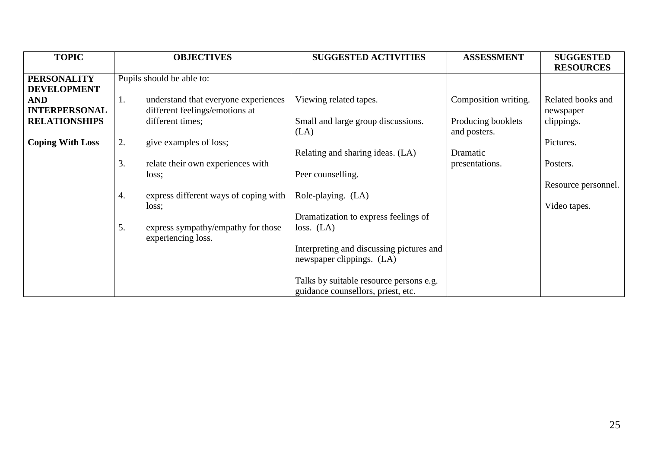| <b>TOPIC</b>            | <b>OBJECTIVES</b>                                              | <b>SUGGESTED ACTIVITIES</b>                | <b>ASSESSMENT</b>                  | <b>SUGGESTED</b>    |
|-------------------------|----------------------------------------------------------------|--------------------------------------------|------------------------------------|---------------------|
|                         |                                                                |                                            |                                    | <b>RESOURCES</b>    |
| <b>PERSONALITY</b>      | Pupils should be able to:                                      |                                            |                                    |                     |
| <b>DEVELOPMENT</b>      |                                                                |                                            |                                    |                     |
| <b>AND</b>              | understand that everyone experiences<br>1.                     | Viewing related tapes.                     | Composition writing.               | Related books and   |
| <b>INTERPERSONAL</b>    | different feelings/emotions at                                 |                                            |                                    | newspaper           |
| <b>RELATIONSHIPS</b>    | different times;                                               | Small and large group discussions.<br>(LA) | Producing booklets<br>and posters. | clippings.          |
| <b>Coping With Loss</b> | 2.<br>give examples of loss;                                   |                                            |                                    | Pictures.           |
|                         |                                                                | Relating and sharing ideas. (LA)           | Dramatic                           |                     |
|                         | 3.<br>relate their own experiences with                        |                                            | presentations.                     | Posters.            |
|                         | loss;                                                          | Peer counselling.                          |                                    |                     |
|                         |                                                                |                                            |                                    | Resource personnel. |
|                         | express different ways of coping with<br>4.                    | Role-playing. (LA)                         |                                    |                     |
|                         | loss;                                                          |                                            |                                    | Video tapes.        |
|                         |                                                                | Dramatization to express feelings of       |                                    |                     |
|                         | 5.<br>express sympathy/empathy for those<br>experiencing loss. | loss. (LA)                                 |                                    |                     |
|                         |                                                                | Interpreting and discussing pictures and   |                                    |                     |
|                         |                                                                | newspaper clippings. (LA)                  |                                    |                     |
|                         |                                                                |                                            |                                    |                     |
|                         |                                                                | Talks by suitable resource persons e.g.    |                                    |                     |
|                         |                                                                | guidance counsellors, priest, etc.         |                                    |                     |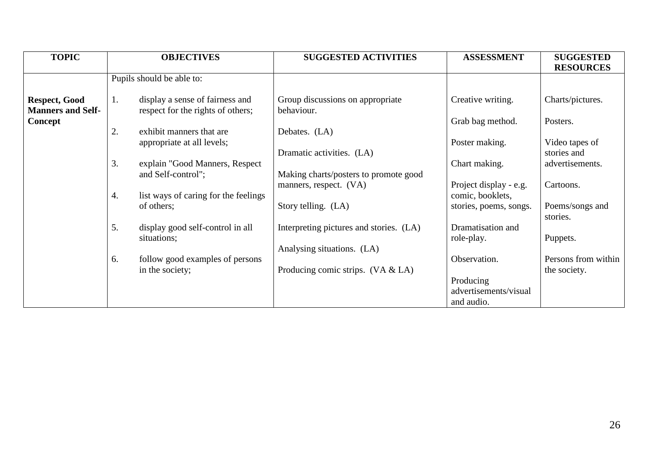| <b>TOPIC</b>                                     |    | <b>OBJECTIVES</b>                                                    | <b>SUGGESTED ACTIVITIES</b>                    | <b>ASSESSMENT</b>      | <b>SUGGESTED</b>    |
|--------------------------------------------------|----|----------------------------------------------------------------------|------------------------------------------------|------------------------|---------------------|
|                                                  |    |                                                                      |                                                |                        | <b>RESOURCES</b>    |
|                                                  |    | Pupils should be able to:                                            |                                                |                        |                     |
| <b>Respect, Good</b><br><b>Manners and Self-</b> | 1. | display a sense of fairness and<br>respect for the rights of others; | Group discussions on appropriate<br>behaviour. | Creative writing.      | Charts/pictures.    |
| Concept                                          |    |                                                                      |                                                | Grab bag method.       | Posters.            |
|                                                  | 2. | exhibit manners that are                                             | Debates. (LA)                                  |                        |                     |
|                                                  |    | appropriate at all levels;                                           |                                                | Poster making.         | Video tapes of      |
|                                                  |    |                                                                      | Dramatic activities. (LA)                      |                        | stories and         |
|                                                  | 3. | explain "Good Manners, Respect                                       |                                                | Chart making.          | advertisements.     |
|                                                  |    | and Self-control";                                                   | Making charts/posters to promote good          |                        |                     |
|                                                  |    |                                                                      | manners, respect. (VA)                         | Project display - e.g. | Cartoons.           |
|                                                  | 4. | list ways of caring for the feelings                                 |                                                | comic, booklets,       |                     |
|                                                  |    | of others;                                                           | Story telling. (LA)                            | stories, poems, songs. | Poems/songs and     |
|                                                  |    |                                                                      |                                                |                        | stories.            |
|                                                  | 5. | display good self-control in all                                     | Interpreting pictures and stories. (LA)        | Dramatisation and      |                     |
|                                                  |    | situations;                                                          |                                                | role-play.             | Puppets.            |
|                                                  |    |                                                                      | Analysing situations. (LA)                     |                        |                     |
|                                                  | 6. | follow good examples of persons                                      |                                                | Observation.           | Persons from within |
|                                                  |    | in the society;                                                      | Producing comic strips. $(VA & LA)$            |                        | the society.        |
|                                                  |    |                                                                      |                                                | Producing              |                     |
|                                                  |    |                                                                      |                                                | advertisements/visual  |                     |
|                                                  |    |                                                                      |                                                | and audio.             |                     |